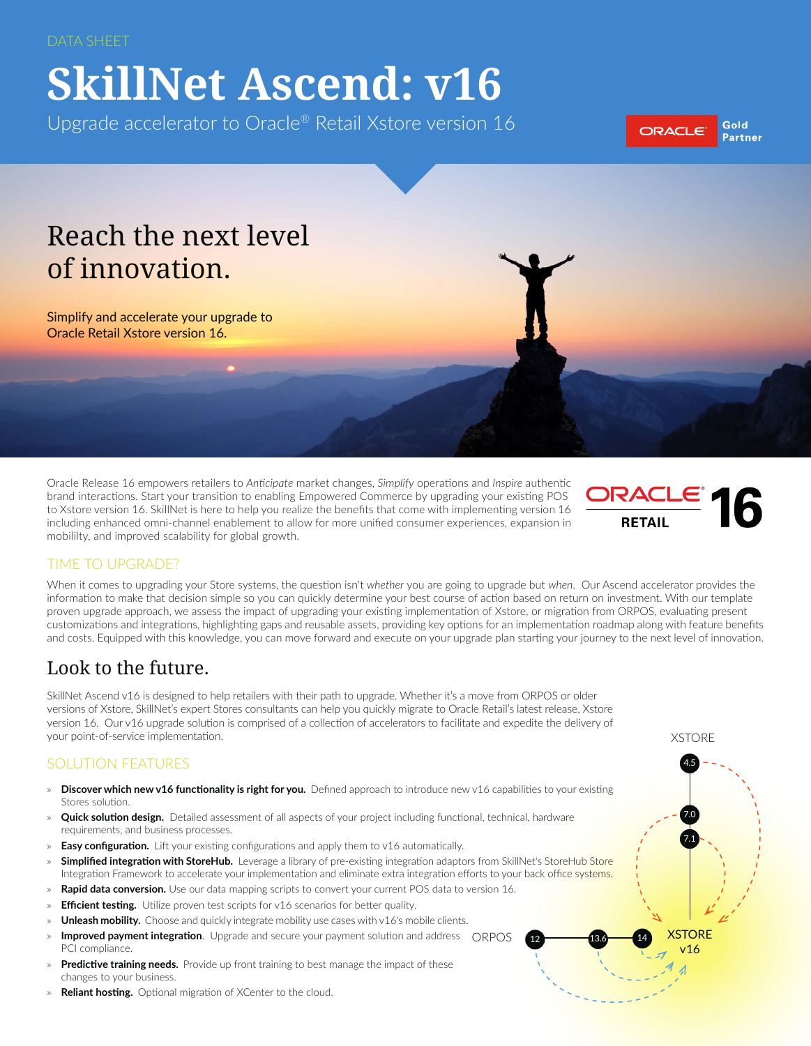# **SkillNet Ascend: v16**

Upgrade accelerator to Oracle® Retail Xstore version 16



# Reach the next level of innovation.

Simplify and accelerate your upgrade to Oracle Retail Xstore version 16.

Oracle Release 16 empowers retailers to *Anticipate* market changes, *Simplify* operations and *Inspire* authentic brand interactions. Start your transition to enabling Empowered Commerce by upgrading your existing POS to Xstore version 16. SkillNet is here to help you realize the benefits that come with implementing version 16 including enhanced omni-channel enablement to allow for more unified consumer experiences, expansion in mobililty, and improved scalability for global growth.



**XSTORE**  $v16$ 

 $12 \rightarrow 13.6 \rightarrow 14$ 

XSTORE

4.5

7.0

7.1

#### TIME TO UPGRADE?

When it comes to upgrading your Store systems, the question isn't *whether* you are going to upgrade but *when*. Our Ascend accelerator provides the information to make that decision simple so you can quickly determine your best course of action based on return on investment. With our template proven upgrade approach, we assess the impact of upgrading your existing implementation of Xstore, or migration from ORPOS, evaluating present customizations and integrations, highlighting gaps and reusable assets, providing key options for an implementation roadmap along with feature benefits and costs. Equipped with this knowledge, you can move forward and execute on your upgrade plan starting your journey to the next level of innovation.

# Look to the future.

SkillNet Ascend v16 is designed to help retailers with their path to upgrade. Whether it's a move from ORPOS or older versions of Xstore, SkillNet's expert Stores consultants can help you quickly migrate to Oracle Retail's latest release, Xstore version 16. Our v16 upgrade solution is comprised of a collection of accelerators to facilitate and expedite the delivery of your point-of-service implementation.

#### SOLUTION FEATURES

- » **Discover which new v16 functionality is right for you.** Defined approach to introduce new v16 capabilities to your existing Stores solution.
- » **Quick solution design.** Detailed assessment of all aspects of your project including functional, technical, hardware requirements, and business processes.
- » **Easy configuration.** Lift your existing configurations and apply them to v16 automatically.
- **[Simplified integration with StoreHub.](http://www.skillnetinc.com/company/exclusive-innovations/storehub-integration-accelerator/)** Leverage a library of pre-existing integration adaptors from SkillNet's StoreHub Store Integration Framework to accelerate your implementation and eliminate extra integration efforts to your back office systems.
- Rapid data conversion. Use our data mapping scripts to convert your current POS data to version 16.
- **Efficient testing.** Utilize proven test scripts for v16 scenarios for better quality.
- **Unleash mobility.** Choose and quickly integrate mobility use cases with v16's mobile clients.
- » **Improved payment integration**. Upgrade and secure your payment solution and address QRPOS PCI compliance.
- » **Predictive training needs.** Provide up front training to best manage the impact of these changes to your business.
- » **Reliant hosting.** Optional migration of XCenter to the cloud.